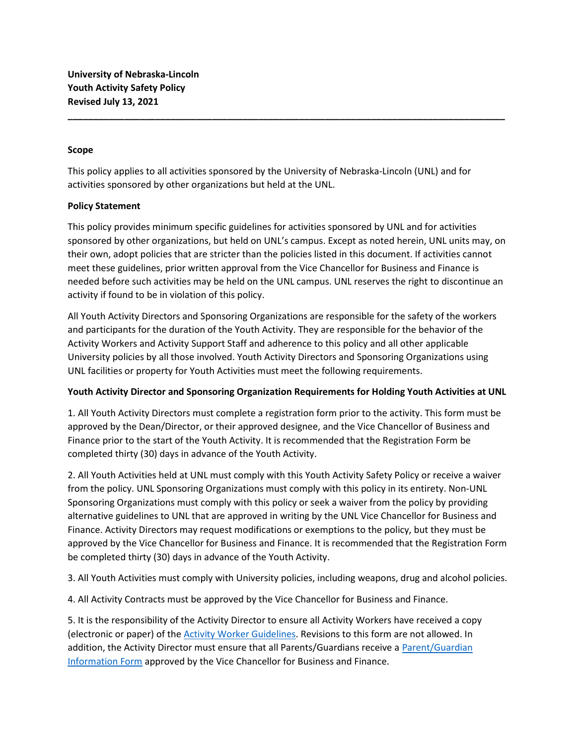## Scope

This policy applies to all activities sponsored by the University of Nebraska-Lincoln (UNL) and for activities sponsored by other organizations but held at the UNL.

## Policy Statement

This policy provides minimum specific guidelines for activities sponsored by UNL and for activities sponsored by other organizations, but held on UNL's campus. Except as noted herein, UNL units may, on their own, adopt policies that are stricter than the policies listed in this document. If activities cannot meet these guidelines, prior written approval from the Vice Chancellor for Business and Finance is needed before such activities may be held on the UNL campus. UNL reserves the right to discontinue an activity if found to be in violation of this policy.

\_\_\_\_\_\_\_\_\_\_\_\_\_\_\_\_\_\_\_\_\_\_\_\_\_\_\_\_\_\_\_\_\_\_\_\_\_\_\_\_\_\_\_\_\_\_\_\_\_\_\_\_\_\_\_\_\_\_\_\_\_\_\_\_\_\_\_\_\_\_\_\_\_\_\_\_\_\_\_\_\_\_\_\_\_

All Youth Activity Directors and Sponsoring Organizations are responsible for the safety of the workers and participants for the duration of the Youth Activity. They are responsible for the behavior of the Activity Workers and Activity Support Staff and adherence to this policy and all other applicable University policies by all those involved. Youth Activity Directors and Sponsoring Organizations using UNL facilities or property for Youth Activities must meet the following requirements.

# Youth Activity Director and Sponsoring Organization Requirements for Holding Youth Activities at UNL

1. All Youth Activity Directors must complete a registration form prior to the activity. This form must be approved by the Dean/Director, or their approved designee, and the Vice Chancellor of Business and Finance prior to the start of the Youth Activity. It is recommended that the Registration Form be completed thirty (30) days in advance of the Youth Activity.

2. All Youth Activities held at UNL must comply with this Youth Activity Safety Policy or receive a waiver from the policy. UNL Sponsoring Organizations must comply with this policy in its entirety. Non-UNL Sponsoring Organizations must comply with this policy or seek a waiver from the policy by providing alternative guidelines to UNL that are approved in writing by the UNL Vice Chancellor for Business and Finance. Activity Directors may request modifications or exemptions to the policy, but they must be approved by the Vice Chancellor for Business and Finance. It is recommended that the Registration Form be completed thirty (30) days in advance of the Youth Activity.

3. All Youth Activities must comply with University policies, including weapons, drug and alcohol policies.

4. All Activity Contracts must be approved by the Vice Chancellor for Business and Finance.

5. It is the responsibility of the Activity Director to ensure all Activity Workers have received a copy (electronic or paper) of the Activity Worker Guidelines. Revisions to this form are not allowed. In addition, the Activity Director must ensure that all Parents/Guardians receive a Parent/Guardian Information Form approved by the Vice Chancellor for Business and Finance.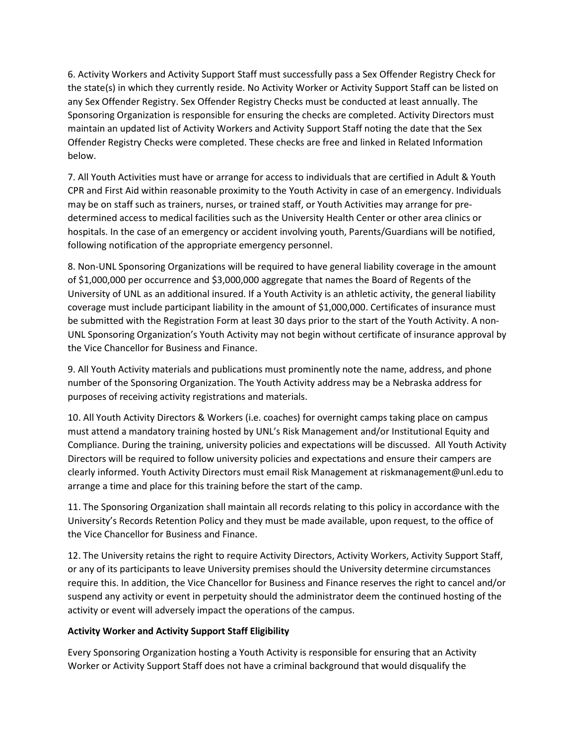6. Activity Workers and Activity Support Staff must successfully pass a Sex Offender Registry Check for the state(s) in which they currently reside. No Activity Worker or Activity Support Staff can be listed on any Sex Offender Registry. Sex Offender Registry Checks must be conducted at least annually. The Sponsoring Organization is responsible for ensuring the checks are completed. Activity Directors must maintain an updated list of Activity Workers and Activity Support Staff noting the date that the Sex Offender Registry Checks were completed. These checks are free and linked in Related Information below.

7. All Youth Activities must have or arrange for access to individuals that are certified in Adult & Youth CPR and First Aid within reasonable proximity to the Youth Activity in case of an emergency. Individuals may be on staff such as trainers, nurses, or trained staff, or Youth Activities may arrange for predetermined access to medical facilities such as the University Health Center or other area clinics or hospitals. In the case of an emergency or accident involving youth, Parents/Guardians will be notified, following notification of the appropriate emergency personnel.

8. Non-UNL Sponsoring Organizations will be required to have general liability coverage in the amount of \$1,000,000 per occurrence and \$3,000,000 aggregate that names the Board of Regents of the University of UNL as an additional insured. If a Youth Activity is an athletic activity, the general liability coverage must include participant liability in the amount of \$1,000,000. Certificates of insurance must be submitted with the Registration Form at least 30 days prior to the start of the Youth Activity. A non-UNL Sponsoring Organization's Youth Activity may not begin without certificate of insurance approval by the Vice Chancellor for Business and Finance.

9. All Youth Activity materials and publications must prominently note the name, address, and phone number of the Sponsoring Organization. The Youth Activity address may be a Nebraska address for purposes of receiving activity registrations and materials.

10. All Youth Activity Directors & Workers (i.e. coaches) for overnight camps taking place on campus must attend a mandatory training hosted by UNL's Risk Management and/or Institutional Equity and Compliance. During the training, university policies and expectations will be discussed. All Youth Activity Directors will be required to follow university policies and expectations and ensure their campers are clearly informed. Youth Activity Directors must email Risk Management at riskmanagement@unl.edu to arrange a time and place for this training before the start of the camp.

11. The Sponsoring Organization shall maintain all records relating to this policy in accordance with the University's Records Retention Policy and they must be made available, upon request, to the office of the Vice Chancellor for Business and Finance.

12. The University retains the right to require Activity Directors, Activity Workers, Activity Support Staff, or any of its participants to leave University premises should the University determine circumstances require this. In addition, the Vice Chancellor for Business and Finance reserves the right to cancel and/or suspend any activity or event in perpetuity should the administrator deem the continued hosting of the activity or event will adversely impact the operations of the campus.

# Activity Worker and Activity Support Staff Eligibility

Every Sponsoring Organization hosting a Youth Activity is responsible for ensuring that an Activity Worker or Activity Support Staff does not have a criminal background that would disqualify the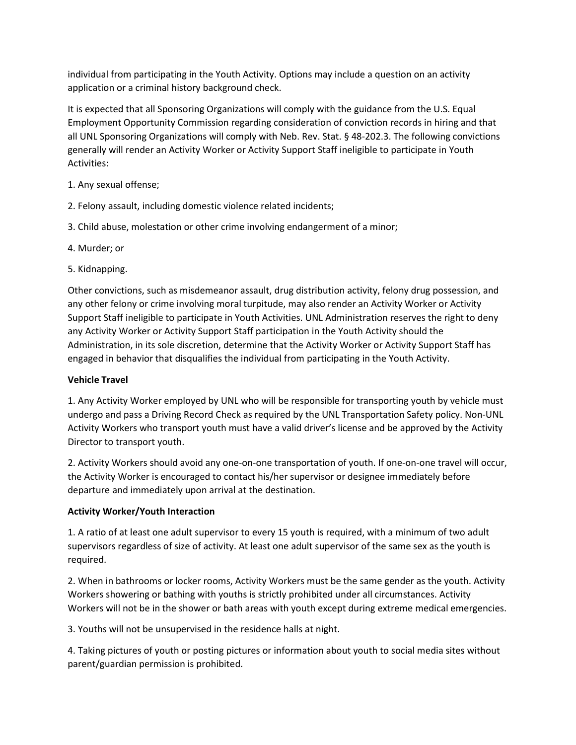individual from participating in the Youth Activity. Options may include a question on an activity application or a criminal history background check.

It is expected that all Sponsoring Organizations will comply with the guidance from the U.S. Equal Employment Opportunity Commission regarding consideration of conviction records in hiring and that all UNL Sponsoring Organizations will comply with Neb. Rev. Stat. § 48-202.3. The following convictions generally will render an Activity Worker or Activity Support Staff ineligible to participate in Youth Activities:

- 1. Any sexual offense;
- 2. Felony assault, including domestic violence related incidents;
- 3. Child abuse, molestation or other crime involving endangerment of a minor;
- 4. Murder; or
- 5. Kidnapping.

Other convictions, such as misdemeanor assault, drug distribution activity, felony drug possession, and any other felony or crime involving moral turpitude, may also render an Activity Worker or Activity Support Staff ineligible to participate in Youth Activities. UNL Administration reserves the right to deny any Activity Worker or Activity Support Staff participation in the Youth Activity should the Administration, in its sole discretion, determine that the Activity Worker or Activity Support Staff has engaged in behavior that disqualifies the individual from participating in the Youth Activity.

## Vehicle Travel

1. Any Activity Worker employed by UNL who will be responsible for transporting youth by vehicle must undergo and pass a Driving Record Check as required by the UNL Transportation Safety policy. Non-UNL Activity Workers who transport youth must have a valid driver's license and be approved by the Activity Director to transport youth.

2. Activity Workers should avoid any one-on-one transportation of youth. If one-on-one travel will occur, the Activity Worker is encouraged to contact his/her supervisor or designee immediately before departure and immediately upon arrival at the destination.

## Activity Worker/Youth Interaction

1. A ratio of at least one adult supervisor to every 15 youth is required, with a minimum of two adult supervisors regardless of size of activity. At least one adult supervisor of the same sex as the youth is required.

2. When in bathrooms or locker rooms, Activity Workers must be the same gender as the youth. Activity Workers showering or bathing with youths is strictly prohibited under all circumstances. Activity Workers will not be in the shower or bath areas with youth except during extreme medical emergencies.

3. Youths will not be unsupervised in the residence halls at night.

4. Taking pictures of youth or posting pictures or information about youth to social media sites without parent/guardian permission is prohibited.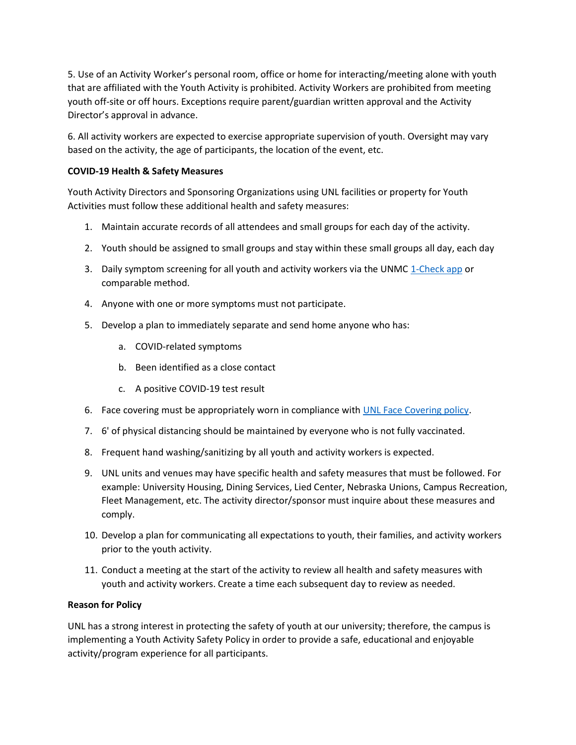5. Use of an Activity Worker's personal room, office or home for interacting/meeting alone with youth that are affiliated with the Youth Activity is prohibited. Activity Workers are prohibited from meeting youth off-site or off hours. Exceptions require parent/guardian written approval and the Activity Director's approval in advance.

6. All activity workers are expected to exercise appropriate supervision of youth. Oversight may vary based on the activity, the age of participants, the location of the event, etc.

# COVID-19 Health & Safety Measures

Youth Activity Directors and Sponsoring Organizations using UNL facilities or property for Youth Activities must follow these additional health and safety measures:

- 1. Maintain accurate records of all attendees and small groups for each day of the activity.
- 2. Youth should be assigned to small groups and stay within these small groups all day, each day
- 3. Daily symptom screening for all youth and activity workers via the UNMC 1-Check app or comparable method.
- 4. Anyone with one or more symptoms must not participate.
- 5. Develop a plan to immediately separate and send home anyone who has:
	- a. COVID-related symptoms
	- b. Been identified as a close contact
	- c. A positive COVID-19 test result
- 6. Face covering must be appropriately worn in compliance with UNL Face Covering policy.
- 7. 6' of physical distancing should be maintained by everyone who is not fully vaccinated.
- 8. Frequent hand washing/sanitizing by all youth and activity workers is expected.
- 9. UNL units and venues may have specific health and safety measures that must be followed. For example: University Housing, Dining Services, Lied Center, Nebraska Unions, Campus Recreation, Fleet Management, etc. The activity director/sponsor must inquire about these measures and comply.
- 10. Develop a plan for communicating all expectations to youth, their families, and activity workers prior to the youth activity.
- 11. Conduct a meeting at the start of the activity to review all health and safety measures with youth and activity workers. Create a time each subsequent day to review as needed.

## Reason for Policy

UNL has a strong interest in protecting the safety of youth at our university; therefore, the campus is implementing a Youth Activity Safety Policy in order to provide a safe, educational and enjoyable activity/program experience for all participants.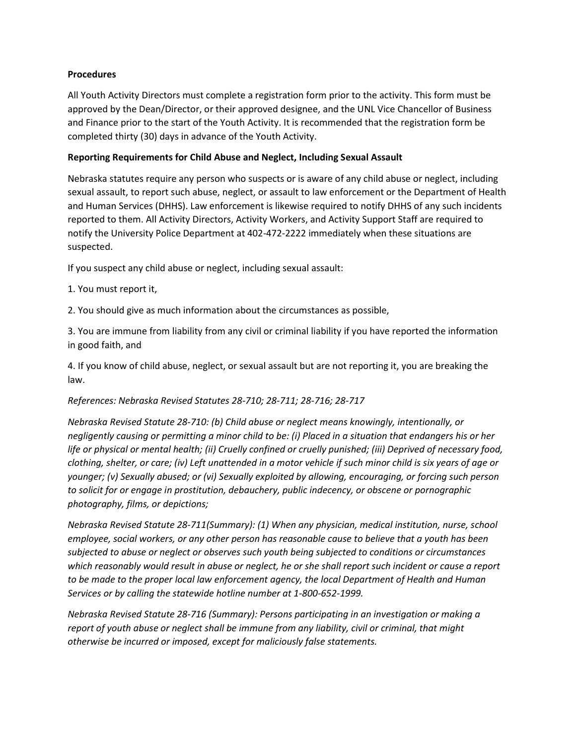## Procedures

All Youth Activity Directors must complete a registration form prior to the activity. This form must be approved by the Dean/Director, or their approved designee, and the UNL Vice Chancellor of Business and Finance prior to the start of the Youth Activity. It is recommended that the registration form be completed thirty (30) days in advance of the Youth Activity.

## Reporting Requirements for Child Abuse and Neglect, Including Sexual Assault

Nebraska statutes require any person who suspects or is aware of any child abuse or neglect, including sexual assault, to report such abuse, neglect, or assault to law enforcement or the Department of Health and Human Services (DHHS). Law enforcement is likewise required to notify DHHS of any such incidents reported to them. All Activity Directors, Activity Workers, and Activity Support Staff are required to notify the University Police Department at 402-472-2222 immediately when these situations are suspected.

If you suspect any child abuse or neglect, including sexual assault:

1. You must report it,

2. You should give as much information about the circumstances as possible,

3. You are immune from liability from any civil or criminal liability if you have reported the information in good faith, and

4. If you know of child abuse, neglect, or sexual assault but are not reporting it, you are breaking the law.

#### References: Nebraska Revised Statutes 28-710; 28-711; 28-716; 28-717

Nebraska Revised Statute 28-710: (b) Child abuse or neglect means knowingly, intentionally, or negligently causing or permitting a minor child to be: (i) Placed in a situation that endangers his or her life or physical or mental health; (ii) Cruelly confined or cruelly punished; (iii) Deprived of necessary food, clothing, shelter, or care; (iv) Left unattended in a motor vehicle if such minor child is six years of age or younger; (v) Sexually abused; or (vi) Sexually exploited by allowing, encouraging, or forcing such person to solicit for or engage in prostitution, debauchery, public indecency, or obscene or pornographic photography, films, or depictions;

Nebraska Revised Statute 28-711(Summary): (1) When any physician, medical institution, nurse, school employee, social workers, or any other person has reasonable cause to believe that a youth has been subjected to abuse or neglect or observes such youth being subjected to conditions or circumstances which reasonably would result in abuse or neglect, he or she shall report such incident or cause a report to be made to the proper local law enforcement agency, the local Department of Health and Human Services or by calling the statewide hotline number at 1-800-652-1999.

Nebraska Revised Statute 28-716 (Summary): Persons participating in an investigation or making a report of youth abuse or neglect shall be immune from any liability, civil or criminal, that might otherwise be incurred or imposed, except for maliciously false statements.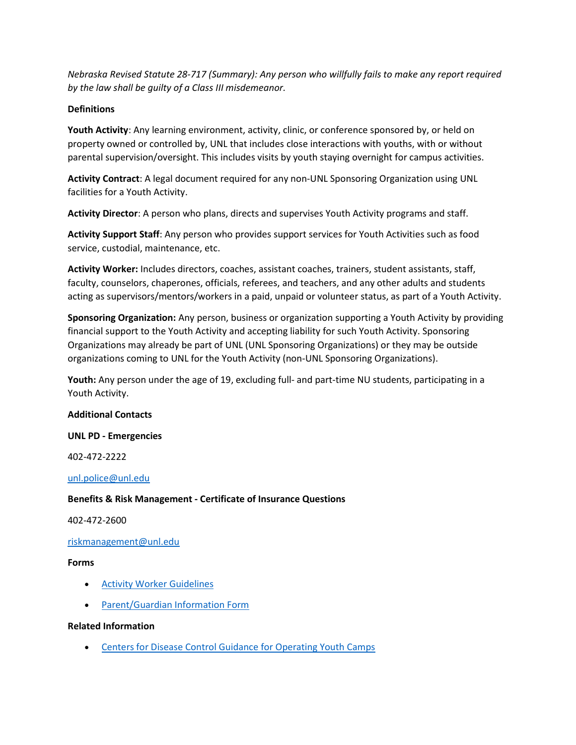Nebraska Revised Statute 28-717 (Summary): Any person who willfully fails to make any report required by the law shall be guilty of a Class III misdemeanor.

## **Definitions**

Youth Activity: Any learning environment, activity, clinic, or conference sponsored by, or held on property owned or controlled by, UNL that includes close interactions with youths, with or without parental supervision/oversight. This includes visits by youth staying overnight for campus activities.

Activity Contract: A legal document required for any non-UNL Sponsoring Organization using UNL facilities for a Youth Activity.

Activity Director: A person who plans, directs and supervises Youth Activity programs and staff.

Activity Support Staff: Any person who provides support services for Youth Activities such as food service, custodial, maintenance, etc.

Activity Worker: Includes directors, coaches, assistant coaches, trainers, student assistants, staff, faculty, counselors, chaperones, officials, referees, and teachers, and any other adults and students acting as supervisors/mentors/workers in a paid, unpaid or volunteer status, as part of a Youth Activity.

Sponsoring Organization: Any person, business or organization supporting a Youth Activity by providing financial support to the Youth Activity and accepting liability for such Youth Activity. Sponsoring Organizations may already be part of UNL (UNL Sponsoring Organizations) or they may be outside organizations coming to UNL for the Youth Activity (non-UNL Sponsoring Organizations).

Youth: Any person under the age of 19, excluding full- and part-time NU students, participating in a Youth Activity.

## Additional Contacts

## UNL PD - Emergencies

402-472-2222

unl.police@unl.edu

## Benefits & Risk Management - Certificate of Insurance Questions

402-472-2600

## riskmanagement@unl.edu

#### Forms

- Activity Worker Guidelines
- Parent/Guardian Information Form

## Related Information

Centers for Disease Control Guidance for Operating Youth Camps